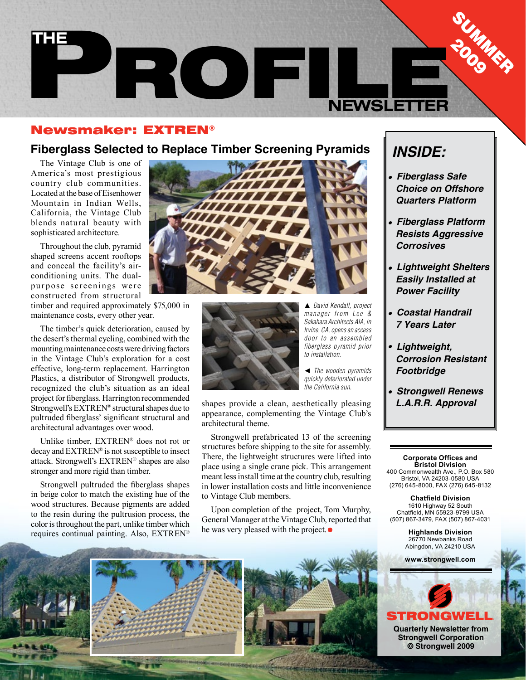

#### Newsmaker: EXTREN®

### **Fiberglass Selected to Replace Timber Screening Pyramids**

The Vintage Club is one of America's most prestigious country club communities. Located at the base of Eisenhower Mountain in Indian Wells, California, the Vintage Club blends natural beauty with sophisticated architecture.

Throughout the club, pyramid shaped screens accent rooftops and conceal the facility's airconditioning units. The dualpurpose screenings were constructed from structural

timber and required approximately \$75,000 in maintenance costs, every other year.

The timber's quick deterioration, caused by the desert's thermal cycling, combined with the mounting maintenance costs were driving factors in the Vintage Club's exploration for a cost effective, long-term replacement. Harrington Plastics, a distributor of Strongwell products, recognized the club's situation as an ideal project for fiberglass. Harrington recommended Strongwell's EXTREN® structural shapes due to pultruded fiberglass' significant structural and architectural advantages over wood.

Unlike timber, EXTREN® does not rot or decay and EXTREN® is not susceptible to insect attack. Strongwell's EXTREN® shapes are also stronger and more rigid than timber.

Strongwell pultruded the fiberglass shapes in beige color to match the existing hue of the wood structures. Because pigments are added to the resin during the pultrusion process, the color is throughout the part, unlike timber which requires continual painting. Also, EXTREN®





*David Kendall, project manager from Lee & Sakahara Architects AIA, in Irvine, CA, opens an access door to an assembled fiberglass pyramid prior to installation.*

◄ *The wooden pyramids quickly deteriorated under the California sun.*

shapes provide a clean, aesthetically pleasing appearance, complementing the Vintage Club's architectural theme.

Strongwell prefabricated 13 of the screening structures before shipping to the site for assembly. There, the lightweight structures were lifted into place using a single crane pick. This arrangement meant less install time at the country club, resulting in lower installation costs and little inconvenience to Vintage Club members.

Upon completion of the project, Tom Murphy, General Manager at the Vintage Club, reported that he was very pleased with the project.

# *INSIDE:*

- **Fiberglass Safe Choice on Offshore Quarters Platform**
- **Fiberglass Platform Resists Aggressive Corrosives**
- **Lightweight Shelters Easily Installed at Power Facility**
- **Coastal Handrail 7 Years Later**
- **Lightweight, Corrosion Resistant Footbridge**
- **Strongwell Renews L.A.R.R. Approval**

**Corporate Offices and Bristol Division** 400 Commonwealth Ave., P.O. Box 580 Bristol, VA 24203-0580 USA (276) 645-8000, FAX (276) 645-8132

**Chatfield Division** 1610 Highway 52 South Chatfield, MN 55923-9799 USA (507) 867-3479, FAX (507) 867-4031

> **Highlands Division** 26770 Newbanks Road Abingdon, VA 24210 USA

**www.strongwell.com**



**Strongwell Corporation © Strongwell 2009**





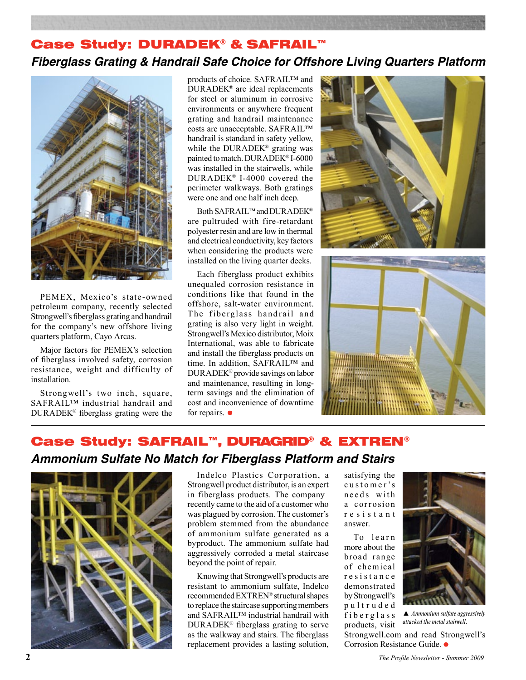## Case Study: DURADEK® & SAFRAIL™ **Fiberglass Grating & Handrail Safe Choice for Offshore Living Quarters Platform**



PEMEX, Mexico's state-owned petroleum company, recently selected Strongwell's fiberglass grating and handrail for the company's new offshore living quarters platform, Cayo Arcas.

Major factors for PEMEX's selection of fiberglass involved safety, corrosion resistance, weight and difficulty of installation.

Strongwell's two inch, square, SAFRAIL™ industrial handrail and DURADEK® fiberglass grating were the products of choice. SAFRAIL™ and DURADEK® are ideal replacements for steel or aluminum in corrosive environments or anywhere frequent grating and handrail maintenance costs are unacceptable. SAFRAIL™ handrail is standard in safety yellow, while the DURADEK® grating was painted to match. DURADEK® I-6000 was installed in the stairwells, while DURADEK® I-4000 covered the perimeter walkways. Both gratings were one and one half inch deep.

Both SAFRAIL™ and DURADEK® are pultruded with fire-retardant polyester resin and are low in thermal and electrical conductivity, key factors when considering the products were installed on the living quarter decks.

Each fiberglass product exhibits unequaled corrosion resistance in conditions like that found in the offshore, salt-water environment. The fiberglass handrail and grating is also very light in weight. Strongwell's Mexico distributor, Moix International, was able to fabricate and install the fiberglass products on time. In addition, SAFRAIL™ and DURADEK® provide savings on labor and maintenance, resulting in longterm savings and the elimination of cost and inconvenience of downtime for repairs.  $\bullet$ 





# Case Study: SAFRAIL™, DURAGRID® & EXTREN® **Ammonium Sulfate No Match for Fiberglass Platform and Stairs**



Indelco Plastics Corporation, a Strongwell product distributor, is an expert in fiberglass products. The company recently came to the aid of a customer who was plagued by corrosion. The customer's problem stemmed from the abundance of ammonium sulfate generated as a byproduct. The ammonium sulfate had aggressively corroded a metal staircase beyond the point of repair.

Knowing that Strongwell's products are resistant to ammonium sulfate, Indelco recommended EXTREN® structural shapes to replace the staircase supporting members and SAFRAIL™ industrial handrail with DURADEK® fiberglass grating to serve as the walkway and stairs. The fiberglass replacement provides a lasting solution, satisfying the customer's needs with a corrosion r e s i s t a n t answer.

To learn more about the broad range of chemical r e s i s t a n c e demonstrated by Strongwell's p u l t r u d e d f *i* b e r g l a s s products, visit

Strongwell.com and read Strongwell's Corrosion Resistance Guide.

▲ *Ammonium sulfate aggressively attacked the metal stairwell.*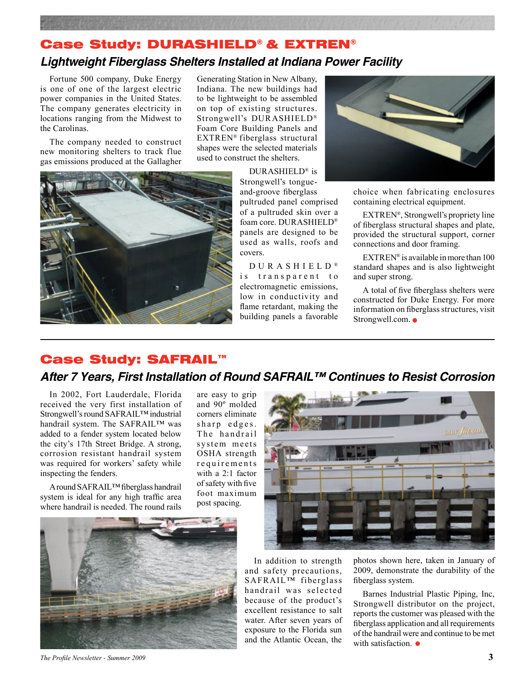# Case Study: DURASHIELD® & EXTREN®

### **Lightweight Fiberglass Shelters Installed at Indiana Power Facility**

Fortune 500 company, Duke Energy is one of one of the largest electric power companies in the United States. The company generates electricity in locations ranging from the Midwest to the Carolinas.

The company needed to construct new monitoring shelters to track flue gas emissions produced at the Gallagher

Generating Station in New Albany, Indiana. The new buildings had to be lightweight to be assembled on top of existing structures. Strongwell's DURASHIELD® Foam Core Building Panels and EXTREN® fiberglass structural shapes were the selected materials used to construct the shelters.



DURASHIELD® is Strongwell's tongueand-groove fiberglass pultruded panel comprised of a pultruded skin over a foam core. DURASHIELD® panels are designed to be used as walls, roofs and covers.

D U R A S H I E L D ® is transparent to electromagnetic emissions, low in conductivity and flame retardant, making the building panels a favorable



choice when fabricating enclosures containing electrical equipment.

EXTREN®, Strongwell's propriety line of fiberglass structural shapes and plate, provided the structural support, corner connections and door framing.

EXTREN<sup>®</sup> is available in more than  $100$ standard shapes and is also lightweight and super strong.

A total of five fiberglass shelters were constructed for Duke Energy. For more information on fiberglass structures, visit Strongwell.com.  $\bullet$ 

#### Case Study: SAFRAIL™

### **After 7 Years, First Installation of Round SAFRAIL™ Continues to Resist Corrosion**

In 2002, Fort Lauderdale, Florida received the very first installation of Strongwell's round SAFRAIL™ industrial handrail system. The SAFRAIL™ was added to a fender system located below the city's 17th Street Bridge. A strong, corrosion resistant handrail system was required for workers' safety while inspecting the fenders.

A round SAFRAIL™ fiberglass handrail system is ideal for any high traffic area where handrail is needed. The round rails

are easy to grip and 90º molded corners eliminate sharp edges. The handrail system meets OSHA strength requirements with a 2:1 factor of safety with five foot maximum post spacing.



In addition to strength and safety precautions, SAFRAIL™ fiberglass handrail was selected because of the product's excellent resistance to salt water. After seven years of exposure to the Florida sun and the Atlantic Ocean, the photos shown here, taken in January of 2009, demonstrate the durability of the fiberglass system.

Barnes Industrial Plastic Piping, Inc, Strongwell distributor on the project, reports the customer was pleased with the fiberglass application and all requirements of the handrail were and continue to be met with satisfaction.  $\bullet$ 

*The Profile Newsletter - Summer 2009* **3**